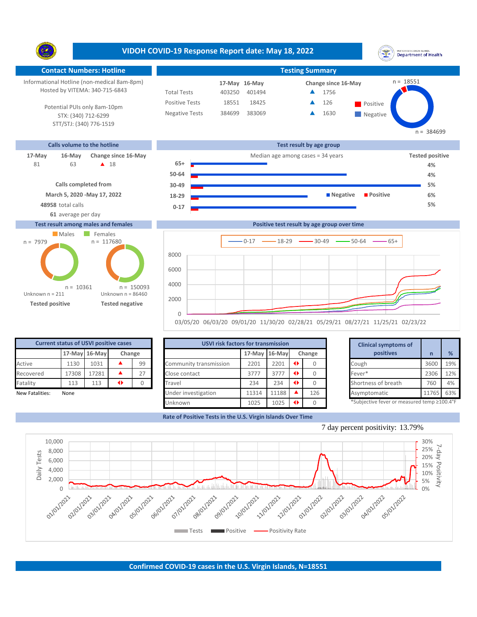**VIDOH COVID-19 Response Report date: May 18, 2022** UNITED STATES VIRGIN ISLANDS<br>Department of Health Y. **Contact Numbers: Hotline Testing Summary**  $n = 18551$ Informational Hotline (non-medical 8am-8pm) 17-May 16-May **17-May Change since 16-May** Hosted by VITEMA: 340-715-6843 Total Tests 403250 401494 ▲ 1756 Positive Tests 18551 18425 **A** 126 **Positive**  $\blacktriangle$ 126 Potential PUIs only 8am-10pm Negative Tests 384699 383069 **1630**  $\blacktriangle$ STX: (340) 712-6299 **Negative** STT/STJ: (340) 776-1519  $n = 384699$ **Calls volume to the hotline Test result by age group 17-May 16-May Change since 16-May Change since 16-May Change and Change among cases = 34 years <b>Tested positive Tested positive** 63 **A** 18 **65+** 81 **4% 50-64 4% Calls completed from 30-49 5% March 5, 2020 -May 17, 2022 18-29 Negative Positive 6% 48958** total calls **5% 0-17 61** average per day **Test result among males and females Positive test result by age group over time** Males Females  $n = 117680$ n = 7979  $0-17$   $\longrightarrow$  18-29  $\longrightarrow$  30-49  $\longrightarrow$  50-64  $\longrightarrow$  65+ 8000 6000 4000 n = 150093  $n = 10361$ Unknown n = 211 Unknown n = 86460 2000

**Tested positive Tested negative**

|       |       |   |               |                                                        |       | <b>Clinical symptoms of</b> |               |                                                            |                     |       |                                             |
|-------|-------|---|---------------|--------------------------------------------------------|-------|-----------------------------|---------------|------------------------------------------------------------|---------------------|-------|---------------------------------------------|
|       |       |   |               |                                                        |       | Change                      |               | positives                                                  |                     | %     |                                             |
| 1130  | 1031  |   | 99            | Community transmission                                 | 2201  | 2201                        |               |                                                            | Cough               | 3600  | 19%                                         |
| 17308 | 17281 |   | 27            | Close contact                                          | 3777  | 3777                        | $\rightarrow$ |                                                            | Fever*              | 2306  | 12%                                         |
| 113   | 113   | ◆ |               | Travel                                                 | 234   | 234                         | $\rightarrow$ |                                                            | Shortness of breath | 760   | 4%                                          |
| None  |       |   |               | Under investigation                                    | 11314 | 11188                       |               | 126                                                        | Asymptomatic        | 11765 | 63%                                         |
|       |       |   |               | Unknown                                                | 1025  | 1025                        |               |                                                            |                     |       |                                             |
|       |       |   | 17-May 16-May | <b>Current status of USVI positive cases</b><br>Change |       |                             |               | <b>USVI risk factors for transmission</b><br>17-May 16-May |                     |       | *Subjective fever or measured temp ≥100.4°F |

03/05/20 06/03/20 09/01/20 11/30/20 02/28/21 05/29/21 08/27/21 11/25/21 02/23/22

 $\Omega$ 

**Rate of Positive Tests in the U.S. Virgin Islands Over Time**

|       | for transmission |   |        | <b>Clinical symptoms of</b>                 |       |     |  |  |  |  |
|-------|------------------|---|--------|---------------------------------------------|-------|-----|--|--|--|--|
|       | 17-May 16-May    |   | Change | positives                                   | n     | %   |  |  |  |  |
| 2201  | 2201             | ◆ | 0      | Cough                                       | 3600  | 19% |  |  |  |  |
| 3777  | 3777             | ◆ | 0      | Fever*                                      | 2306  | 12% |  |  |  |  |
| 234   | 234              | ◆ |        | Shortness of breath                         | 760   | 4%  |  |  |  |  |
| 11314 | 11188            |   | 126    | Asymptomatic                                | 11765 | 63% |  |  |  |  |
| 1025  | 1025             | ◆ |        | *Subjective fever or measured temp ≥100.4°F |       |     |  |  |  |  |



7 day percent positivity: 13.79%